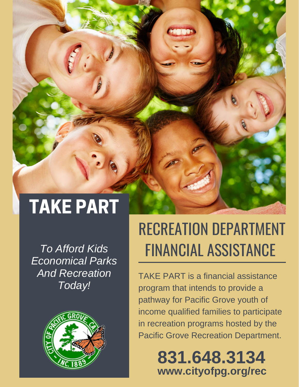# TAKE PART

*To Afford Kids Economical Parks And Recreation Today!*



## RECREATION DEPARTMENT FINANCIAL ASSISTANCE

TAKE PART is a financial assistance program that intends to provide a pathway for Pacific Grove youth of income qualified families to participate in recreation programs hosted by the Pacific Grove Recreation Department.

> **www.cityofpg.org/rec 831.648.3134**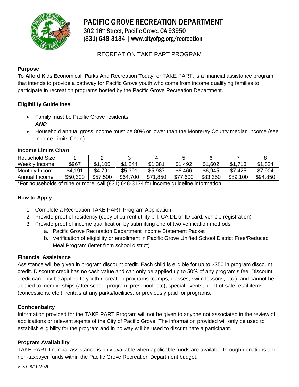

PACIFIC GROVE RECREATION DEPARTMENT

302 16th Street, Pacific Grove, CA 93950 (831) 648-3134 | www.cityofpg.org/recreation

### RECREATION TAKE PART PROGRAM

#### **Purpose**

**T**o **A**fford **K**ids **E**conomical **P**arks **A**nd **R**ecreation **T**oday, or TAKE PART, is a financial assistance program that intends to provide a pathway for Pacific Grove youth who come from income qualifying families to participate in recreation programs hosted by the Pacific Grove Recreation Department.

#### **Eligibility Guidelines**

- Family must be Pacific Grove residents *AND*
- Household annual gross income must be 80% or lower than the Monterey County median income (see Income Limits Chart)

#### **Income Limits Chart**

| <b>Household Size</b> |          |              |          |              |             |          |             |          |
|-----------------------|----------|--------------|----------|--------------|-------------|----------|-------------|----------|
| Weekly Income         | \$967    | \$1<br>105   | \$1,244  | \$1,381      | \$1<br>.492 | \$1,602  | \$1<br>712  | \$1,824  |
| Monthly Income        | \$4,191  | \$4,791      | \$5,391  | \$5,987      | \$6,466     | \$6,945  | \$7<br>.425 | \$7,904  |
| Annual Income         | \$50,300 | \$57<br>.500 | \$64,700 | \$71<br>.850 | \$77,600    | \$83,350 | \$89,100    | \$94,850 |

\*For households of nine or more, call (831) 648-3134 for income guideline information.

#### **How to Apply**

- 1. Complete a Recreation TAKE PART Program Application
- 2. Provide proof of residency (copy of current utility bill, CA DL or ID card, vehicle registration)
- 3. Provide proof of income qualification by submitting one of two verification methods:
	- a. Pacific Grove Recreation Department Income Statement Packet
	- b. Verification of eligibility or enrollment in Pacific Grove Unified School District Free/Reduced Meal Program (letter from school district)

#### **Financial Assistance**

Assistance will be given in program discount credit. Each child is eligible for up to \$250 in program discount credit. Discount credit has no cash value and can only be applied up to 50% of any program's fee. Discount credit can only be applied to youth recreation programs (camps, classes, swim lessons, etc.), and cannot be applied to memberships (after school program, preschool, etc), special events, point-of-sale retail items (concessions, etc.), rentals at any parks/facilities, or previously paid for programs.

#### **Confidentiality**

Information provided for the TAKE PART Program will not be given to anyone not associated in the review of applications or relevant agents of the City of Pacific Grove. The information provided will only be used to establish eligibility for the program and in no way will be used to discriminate a participant.

#### **Program Availability**

TAKE PART financial assistance is only available when applicable funds are available through donations and non-taxpayer funds within the Pacific Grove Recreation Department budget.